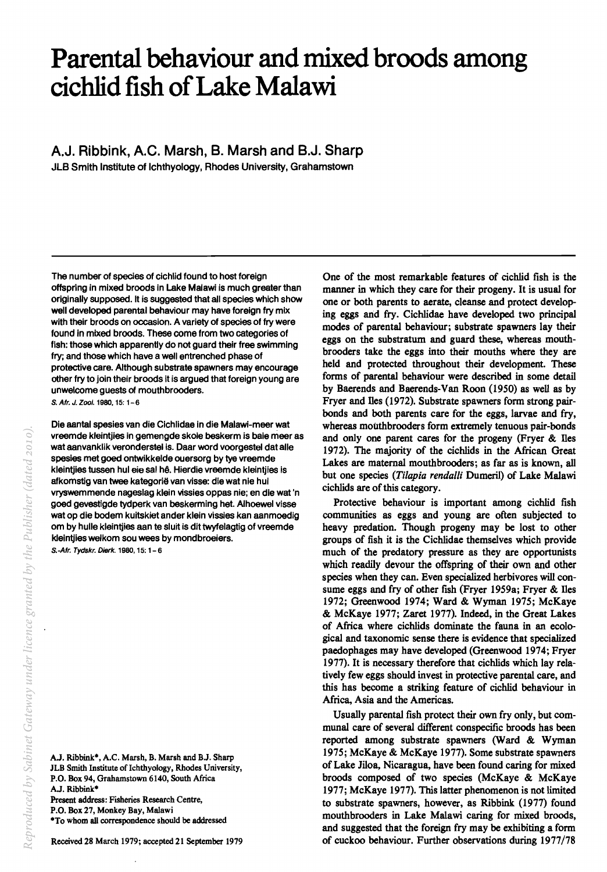# **Parental behaviour and mixed broods among**  cichlid **fish** of Lake Malawi

# A.J. Ribbink, A.C. Marsh, B. Marsh and B.J. Sharp

JLB Smith Institute of Ichthyology, Rhodes University, Grahamstown

The number of species of cichlid found to host foreign offspring in mixed broods in Lake Malawi is much greater than originally supposed. It is suggested that all species which show well developed parental behaviour may have foreign fry mix with their broods on occasion. A variety of species of fry were found in mixed broods. These come from two categories of fish: those which apparently do not guard their free swimming fry; and those which have a well entrenched phase of protective care. Although substrate spawners may encourage other fry to join their broods it is argued that foreign young are unwelcome guests of mouthbrooders.

s. Atr. J. Zool. 1980. 15: 1-6

Die aantal spesies van die Cichlidae in die Malawi-meer wat vreemde kleintjies in gemengde skole beskerm is baie meer as wat aanvanklik veronderstel is. Daar word voorgestel dat aile spesies met goed ontwikkelde ouersorg by tye vreemde kleintjies tussen hul eie sal hê. Hierdie vreemde kleintjies is afkomstig van twee kategorië van visse: die wat nie hul vryswemmende nageslag klein vissies oppas nie; en die wat 'n goed gevestigde tydperk van beskerming het. Alhoewel visse wat op die bodem kuitskiet ander klein vissies kan aanmoedig om by hulle kleintjies aan te sluit is dit twyfelagtig of vreemde kleintjies welkom sou wees by mondbroeiers.

S.-Atr. Tydskr. Dierk. 1980. 15: 1 - 6

A.J. Ribbink<sup>\*</sup>, A.C. Marsh, B. Marsh and B.J. Sharp JLB Smith Institute of Ichthyology, Rhodes University, P.O. Box 94, Grahamstown 6140, South Africa AJ. Ribbink-Present address: Fisheries Research Centre, P.O. Box 27, Monkey Bay, Malawi

-To whom all correspondence should be addressed

One of the most remarkable features of cichlid fish is the manner in which they care for their progeny. It is usual for one or both parents to aerate, cleanse and protect developing eggs and fry. Cichlidae have developed two principal modes of parental behaviour; substrate spawners lay their eggs on the substratum and guard these, whereas mouthbrooders take the eggs into their mouths where they are held and protected throughout their development. These forms of parental behaviour were described in some detail by Baerends and Baerends-Van Roon (1950) as well as by Fryer and Iles (1972). Substrate spawners form strong pairbonds and both parents care for the eggs, larvae and fry, whereas mouthbrooders form extremely tenuous pair-bonds and only one parent cares for the progeny (Fryer & TIes 1972). The majority of the cichlids in the African Great Lakes are maternal mouthbrooders; as far as is known, all but one species *(Tilapia rendalli* DumeriI) of Lake Malawi cichlids are of this category.

Protective behaviour is important among cichlid fish communities as eggs and young are often subjected to heavy predation. Though progeny may be lost to other groups of fish it is the Cichlidae themselves which provide much of the predatory pressure as they are opportunists which readily devour the offspring of their own and other species when they can. Even specialized herbivores will consume eggs and fry of other fish (Fryer 1959a; Fryer & Iles 1972; Greenwood 1974; Ward & Wyman 1975; McKaye & McKaye 1977; Zaret 1977). Indeed, in the Great Lakes of Africa where cichlids dominate the fauna in an ecological and taxonomic sense there is evidence that specialized paedophages may have developed (Greenwood 1974; Fryer 1977). It is necessary therefore that cichlids which lay relatively few eggs should invest in protective parental care, and this has become a striking feature of cichlid behaviour in Africa, Asia and the Americas.

Usually parental fish protect their own fry only, but communal care of several different conspecific broods has been reported among substrate spawners (Ward & Wyman 1975; McKaye & McKaye 1977). Some substrate spawners of Lake Jiloa, Nicaragua, have been found caring for mixed broods composed of two species (McKaye & McKaye 1977; McKaye 1977). This latter phenomenon is not limited to substrate spawners, however, as Ribbink (1977) found mouthbrooders in Lake Malawi caring for mixed broods, and suggested that the foreign fry may be exhibiting a form of cuckoo behaviour. Further observations during 1977/78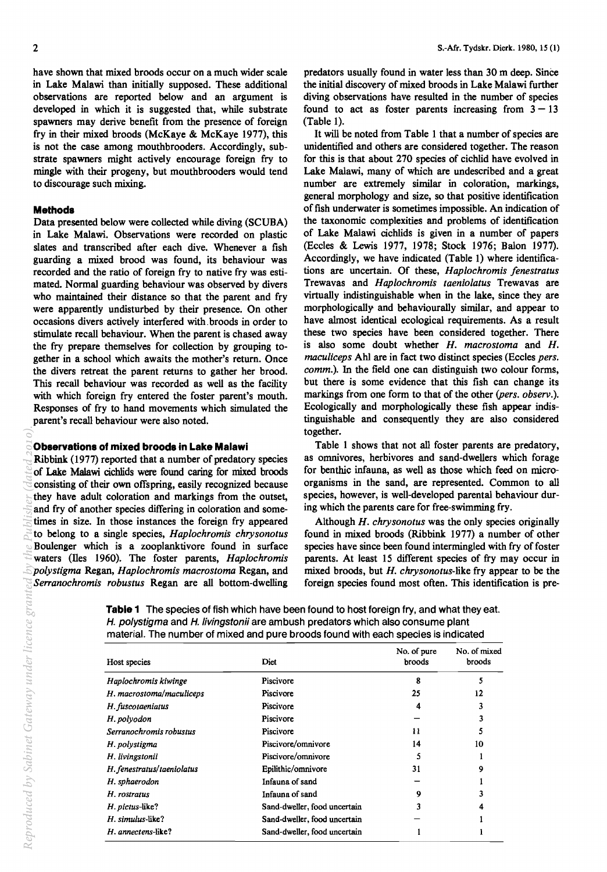have shown that mixed broods occur on a much wider scale in Lake Malawi than initially supposed. These additional observations are reported below and an argument is developed in which it is suggested that, while substrate spawners may derive benefit from the presence of foreign fry in their mixed broods (McKaye & McKaye 1977), this is not the case among mouthbrooders. Accordingly, substrate spawners might actively encourage foreign fry to mingle with their progeny, but mouthbrooders would tend to discourage such mixing.

## **Methods**

Data presented below were collected while diving (SCUBA) in Lake Malawi. Observations were recorded on plastic slates and transcribed after each dive. Whenever a fish guarding a mixed brood was found, its behaviour was recorded and the ratio of foreign fry to native fry was estimated. Normal guarding behaviour was observed by divers who maintained their distance so that the parent and fry were apparently undisturbed by their presence. On other occasions divers actively interfered with. broods in order to stimulate recall behaviour. When the parent is chased away the fry prepare themselves for collection by grouping together in a school which awaits the mother's return. Once the divers retreat the parent returns to gather her brood. This recall behaviour was recorded as well as the facility with which foreign fry entered the foster parent's mouth. Responses of fry to hand movements which simulated the parent's recall behaviour were also noted.

# **Observations of mixed broods in Lake Malawi**

Ribbink (1977) reported that a number of predatory species of Lake Malawi cichlids were found caring for mixed broods consisting of their own offspring, easily recognized because they have adult coloration and markings from the outset, and fry of another species differing in coloration and sometimes in size. In those instances the foreign fry appeared to belong to a single species, *Haplochromis chrysonotus*  Boulenger which is a zooplanktivore found in surface waters (TIes 1960). The foster parents, *Haplochromis polystigma* Regan, *Haplochromis macrostoma* Regan, and Serranochromis robustus Regan are all bottom-dwelling

predators usually found in water less than 30 m deep. Since the initial discovery of mixed broods in Lake Malawi further diving observations have resulted in the number of species found to act as foster parents increasing from  $3 - 13$ (Table 1).

It will be noted from Table 1 that a number of species are unidentified and others are considered together. The reason for this is that about 270 species of cichlid have evolved in Lake Malawi, many of which are undescribed and a great number are extremely similar in coloration, markings, general morphology and size, so that positive identification of fish underwater is sometimes impossible. An indication of the taxonomic complexities and problems of identification of Lake Malawi cichlids is given in a number of papers (Eccles & Lewis 1977, 1978; Stock 1976; Balon 1977). Accordingly, we have indicated (Table 1) where identifications are uncertain. Of these, *Haplochromis fenestratus*  Trewavas and *Haplochromis taeniolatus* Trewavas are virtually indistinguishable when in the lake, since they are morphologically and behaviourally similar, and appear to have almost identical ecological requirements. As a result these two species have been considered together. There is also some doubt whether *H. macrostoma* and *H. maculiceps* Ahl are in fact two distinct species (Eccles *pers. comm.).* In the field one can distinguish two colour forms, but there is some evidence that this fish can change its markings from one form to that of the other *(pers. observ.).*  Ecologically and morphologically these fish appear indistinguishable and consequently they are also considered together.

Table 1 shows that not all foster parents are predatory, as omnivores, herbivores and sand-dwellers which forage for benthic infauna, as well as those which feed on microorganisms in the sand, are represented. Common to all species, however, is well-developed parental behaviour during which the parents care for free-swimming fry.

Although *H. chrysonotus* was the only species originally found in mixed broods (Ribbink 1977) a number of other species have since been found intermingled with fry of foster parents. At least 15 different species of fry may occur in mixed broods, but *H. chrysonotus-Iike* fry appear to be the foreign species found most often. This identification is pre-

**Table 1** The species of fish which have been found to host foreign fry, and what they eat. *H.* po/ystigma and *H.* livingstonii are ambush predators which also consume plant material. The number of mixed and pure broods found with each species is indicated

| Host species               | Diet                         | No. of pure<br>broods | No. of mixed<br>broods |
|----------------------------|------------------------------|-----------------------|------------------------|
| Haplochromis kiwinge       | Piscivore                    | 8                     | 5                      |
| H. macrostoma/maculiceps   | Piscivore                    | 25                    | 12                     |
| H. fuscotaeniatus          | Piscivore                    | 4                     | 3                      |
| H. polyodon                | Piscivore                    |                       | 3                      |
| Serranochromis robustus    | Piscivore                    | 11                    | 5                      |
| H. polystigma              | Piscivore/omnivore           | 14                    | 10                     |
| H. livingstonii            | Piscivore/omnivore           | 5                     |                        |
| H. fenestratus/taeniolatus | Epilithic/omnivore           | 31                    | 9                      |
| H. sphaerodon              | Infauna of sand              |                       |                        |
| H. rostratus               | Infauna of sand              | 9                     |                        |
| H. pictus-like?            | Sand-dweller, food uncertain | 3                     | 4                      |
| H. simulus-like?           | Sand-dweller, food uncertain |                       |                        |
| H. annectens-like?         | Sand-dweller, food uncertain |                       |                        |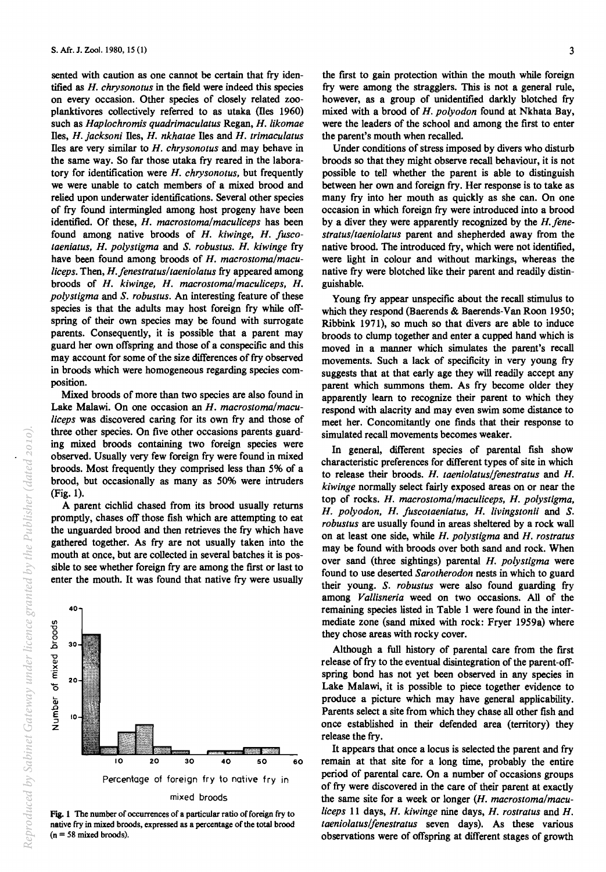sented with caution as one cannot be certain that fry identified as *H. chrysonotus* in the field were indeed this species on every occasion. Other species of closely related zooplanktivores collectively referred to as utaka (TIes 1960) such as *Haplochromis quadrimaculatus* Regan, *H. likomae*  TIes, *H. jacksoni* TIes, *H. nkhatae* lIes and *H. trimaculatus*  TIes are very similar to *H. chrysonotus* and may behave in the same way. So far those utaka fry reared in the laboratory for identification were *H. chrysonotus,* but frequently we were unable to catch members of a mixed brood and relied upon underwater identifications. Several other species of fry found intermingled among host progeny have been identified. Of these, *H. macrostomalmaculiceps* has been found among native broods of *H. kiwinge, H. juscotaeniatus, H. polystigma* and S. *robustus. H. kiwinge* fry have been found among broods of *H. macrostomalmaculiceps.* Then, *H. fenestratus/taeniolatus* fry appeared among broods of *H. kiwinge, H. macrostomalmaculiceps, H. polystigma* and S. *robustus.* An interesting feature of these species is that the adults may host foreign fry while offspring of their own species may be found with surrogate parents. Consequently, it is possible that a parent may guard her own offspring and those of a conspecific and this may account for some of the size differences of fry observed in broods which were homogeneous regarding species composition.

Mixed broods of more than two species are also found in Lake Malawi. On one occasion an *H. macrostomalmaculiceps* was discovered caring for its own fry and those of three other species. On five other occasions parents guarding mixed broods containing two foreign species were observed. Usually very few foreign fry were found in mixed broods. Most frequently they comprised less than 5% of a brood, but occasionally as many as 50% were intruders (Fig. 1).

A parent cichlid chased from its brood usually returns promptly, chases off those fish which are attempting to eat the unguarded brood and then retrieves the fry which have gathered together. As fry are not usually taken into the mouth at once, but are collected in several batches it is possible to see whether foreign fry are among the first or last to enter the mouth. It was found that native fry were usually



# mixed broods

Fig. I The number of occurrences of a particular ratio of foreign fry to native fry in mixed broods, expressed as a percentage of the total brood  $(n = 58$  mixed broods).

the first to gain protection within the mouth while foreign fry were among the stragglers. This is not a general rule, however, as a group of unidentified darkly blotched fry mixed with a brood of *H. polyodon* found at Nkhata Bay, were the leaders of the school and among the first to enter the parent's mouth when recalled.

Under conditions of stress imposed by divers who disturb broods so that they might observe recall behaviour, it is not possible to tell whether the parent is able to distinguish between her own and foreign fry. Her response is to take as many fry into her mouth as quickly as she can. On one occasion in which foreign fry were introduced into a brood by a diver they were apparently recognized by the *H.jenestratusltaeniolatus* parent and shepherded away from the native brood. The introduced fry, which were not identified, were light in colour and without markings, whereas the native fry were blotched like their parent and readily distinguishable.

Young fry appear unspecific about the recall stimulus to which they respond (Baerends & Baerends-Van Roon 1950; Ribbink 1971), so much so that divers are able to induce broods to clump together and enter a cupped hand which is moved in a manner which simulates the parent's recall movements. Such a lack of specificity in very young fry suggests that at that early age they will readily accept any parent which summons them. As fry become older they apparently learn to recognize their parent to which they respond with alacrity and may even swim some distance to meet her. Concomitantly one finds that their response to simulated recall movements becomes weaker.

In general, different species of parental fish show characteristic preferences for different types of site in which to release their broods. *H. taeniolatusljenestratus* and *H. kiwinge* normally select fairly exposed areas on or near the top of rocks. *H. macrostomalmaculiceps, H. polystigma, H. polyodon, H. fuscotaeniatus, H. livingstonii and S. robustus* are usually found in areas sheltered by a rock wall on at least one side, while *H. polystigma* and *H. rostratus*  may be found with broods over both sand and rock. When over sand (three sightings) parental *H. polystigma* were found to use deserted *Sarotherodon* nests in which to guard their young. S. *robustus* were also found guarding fry among *Vallisneria* weed on two occasions. All of the remaining species listed in Table 1 were found in the intermediate zone (sand mixed with rock: Fryer 1959a) where they chose areas with rocky cover.

Although a full history of parental care from the first release of fry to the eventual disintegration of the parent-offspring bond has not yet been observed in any species in Lake Malawi, it is possible to piece together evidence to produce a picture which may have general applicability. Parents select a site from which they chase all other fish and once established in their defended area (territory) they release the fry.

It appears that once a locus is selected the parent and fry remain at that site for a long time, probably the entire period of parental care. On a number of occasions groups of fry were discovered in the care of their parent at exactly the same site for a week or longer *(H. macrostomalmaculiceps* 11 days, *H. kiwinge* nine days, *H. rostratus* and *H. taeniolatus/fenestratus* seven days). As these various observations were of offspring at different stages of growth

Reproduced by Sabinet Gateway under licence granted by the Publisher (dated 2010)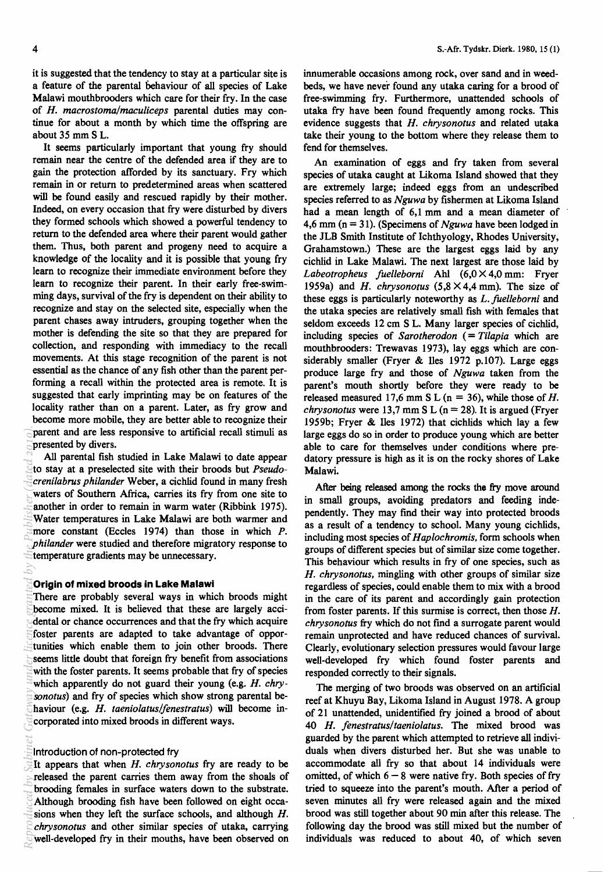it is suggested that the tendency to stay at a particular site is a feature of the parental behaviour of all species of Lake Malawi mouthbrooders which care for their fry. In the case of *H. macrostoma/maculiceps* parental duties may continue for about a month by which time the offspring are about 35 mm S L.

It seems particularly important that young fry should remain near the centre of the defended area if they are to gain the protection afforded by its sanctuary. Fry which remain in or return to predetermined areas when scattered will be found easily and rescued rapidly by their mother. Indeed, on every occasion that fry were disturbed by divers they formed schools which showed a powerful tendency to return to the defended area where their parent would gather them. Thus, both parent and progeny need to acquire a knowledge of the locality and it is possible that young fry learn to recognize their immediate environment before they learn to recognize their parent. In their early free-swimming days, survival of the fry is dependent on their ability to recognize and stay on the selected site, especially when the parent chases away intruders, grouping together when the mother is defending the site so that they are prepared for collection, and responding with immediacy to the recall movements. At this stage recognition of the parent is not essential as the chance of any fish other than the parent performing a recall within the protected area is remote. It is suggested that early imprinting may be on features of the locality rather than on a parent. Later, as fry grow and become more mobile, they are better able to recognize their parent and are less responsive to artificial recall stimuli as presented by divers.

All parental fish studied in Lake Malawi to date appear to stay at a preselected site with their broods but *Pseudocrenilabrus philander* Weber, a cichlid found in many fresh waters of Southern Africa, carries its fry from one site to another in order to remain in warm water (Ribbink 1975). Water temperatures in Lake Malawi are both warmer and more constant (Eccles 1974) than those in which P. *philander* were studied and therefore migratory response to temperature gradients may be unnecessary.

#### **Origin of mixed broods in Lake Malawi**

There are probably several ways in which broods might become mixed. It is believed that these are largely accidental or chance occurrences and that the fry which acquire foster parents are adapted to take advantage of opportunities which enable them to join other broods. There seems little doubt that foreign fry benefit from associations with the foster parents. It seems probable that fry of species which apparently do not guard their young (e.g. *H. chrysonotus)* and fry of species which show strong parental behaviour (e.g. *H. taeniolatus/fenestratus)* will become incorporated into mixed broods in different ways. **Parto** *Sabinet* **<b>Way Sample** *Category* **<b>Sample** *Category* **way** *Reproduced Batter Batter is between licence licence due some have licence licence due licence due licence due licence due* 

#### Introduction of non-protected fry

It appears that when *H. chrysonotus* fry are ready to be released the parent carries them away from the shoals of brooding females in surface waters down to the substrate. Although brooding fish have been followed on eight occasions when they left the surface schools, and although  $H$ . *chrysonotus* and other similar species of utaka, carrying well-developed fry in their mouths, have been observed on innumerable occasions among rock, over sand and in weedbeds, we have never found any utaka caring for a brood of free-swimming fry. Furthermore, unattended schools of utaka fry have been found frequently among rocks. This evidence suggests that *H. chrysonotus* and related utaka take their young to the bottom where they release them to fend for themselves.

An examination of eggs and fry taken from several species of utaka caught at Likoma Island showed that they are extremely large; indeed eggs from an undescribed species referred to as *Nguwa* by fishermen at Likoma Island had a mean length of 6,1 mm and a mean diameter of 4,6 mm (n = 31). (Specimens of *Nguwa* have been lodged in the JLB Smith Institute of Ichthyology, Rhodes University, Grahamstown.) These are the largest eggs laid by any cichlid in Lake Malawi. The next largest are those laid by *Labeotropheus juelleborni* Ahl (6,0 X 4,0 mm: Fryer 1959a) and *H. chrysonotus*  $(5,8 \times 4,4 \text{ mm})$ . The size of these eggs is particularly noteworthy as L. *juelleborni* and the utaka species are relatively small fish with females that seldom exceeds 12 cm S L. Many larger species of cichlid, including species of *Sarotherodon* (= *Tilapia* which are mouthbrooders: Trewavas 1973), lay eggs which are considerably smaller (Fryer & Iles 1972 p.107). Large eggs produce large fry and those of *Nguwa* taken from the parent's mouth shortly before they were ready to be released measured 17,6 mm S L (n = 36), while those of H. *chrysonotus* were 13,7 mm S L ( $n = 28$ ). It is argued (Fryer 1959b; Fryer & lies 1972) that cichlids which lay a few large eggs do so in order to produce young which are better able to care for themselves under conditions where predatory pressure is high as it is on the rocky shores of Lake Malawi.

After being released among the rocks the fry move around in small groups, avoiding predators and feeding independently. They may fmd their way into protected broods as a result of a tendency to school. Many young cichlids, including most species of *Haplochromis,* form schools when groups of different species but of similar size come together. This behaviour which results in fry of one species, such as *H. chrysonotus,* mingling with other groups of similar size regardless of species, could enable them to mix with a brood in the care of its parent and accordingly gain protection from foster parents. If this surmise is correct, then those  $H$ . *chrysonotus* fry which do not fmd a surrogate parent would remain unprotected and have reduced chances of survival. Clearly, evolutionary selection pressures would favour large well-developed fry which found foster parents and responded correctly to their signals.

The merging of two broods was observed on an artificial reef at Khuyu Bay, Likoma Island in August 1978. A group of 21 unattended, unidentified fry joined a brood of about *40 H. jenestratus/taeniolatus.* The mixed brood was guarded by the parent which attempted to retrieve all individuals when divers disturbed her. But she was unable to accommodate all fry so that about 14 individuals were omitted, of which  $6 - 8$  were native fry. Both species of fry tried to squeeze into the parent's mouth. After a period of seven minutes all fry were released again and the mixed brood was still together about 90 min after this release. The following day the brood was still mixed but the number of individuals was reduced to about 40, of which seven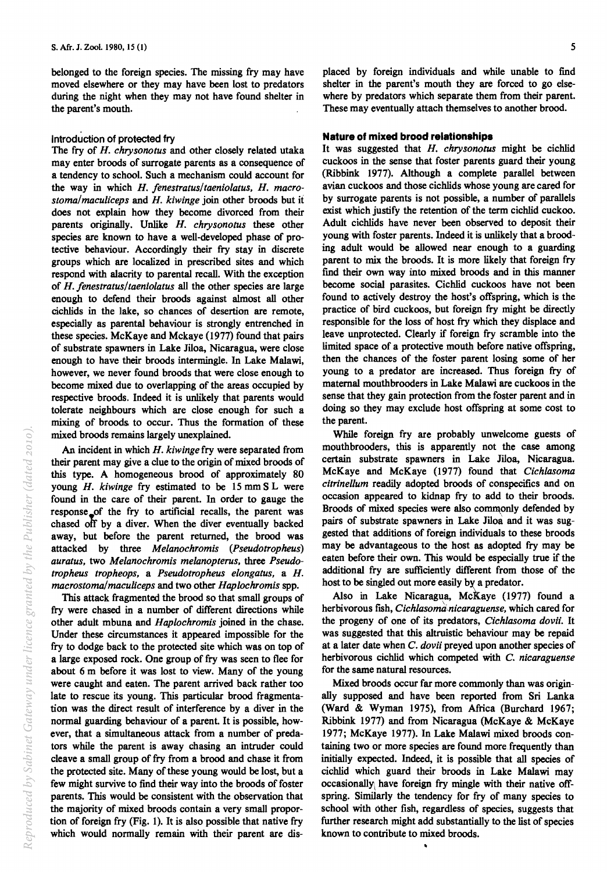belonged to the foreign species. The missing fry may have moved elsewhere or they may have been lost to predators during the night when they may not have found shelter in the parent's mouth.

#### Introduction of protected fry

The fry of *H. chrysonotus* and other closely related utaka may enter broods of surrogate parents as a consequence of a tendency to school. Such a mechanism could account for the way in which *H. !enestratus/taeniolatus, H. macrostoma/maculiceps* and *H. kiwinge* join other broods but it does not explain how they become divorced from their parents originally. Unlike *H. chrysonotus* these other species are known to have a well-developed phase of protective behaviour. Accordingly their fry stay in discrete groups which are localized in prescribed sites and which respond with alacrity to parental recall. With the exception of *H. !enestratus/taeniolatus* all the other species are large enough to defend their broods against almost all other cichlids in the lake, so chances of desertion are remote, especially as parental behaviour is strongly entrenched in these species. McKaye and Mckaye (1977) found that pairs of substrate spawners in Lake Jiloa, Nicaragua, were close enough to have their broods intermingle. In Lake Malawi, however, we never found broods that were close enough to become mixed due to overlapping of the areas occupied by respective broods. Indeed it is unlikely that parents would tolerate neighbours which are close enough for such a mixing of broods. to occur. Thus the formation of these mixed broods remains largely unexplained.

An incident in which *H. kiwinge* fry were separated from their parent may give a clue to the origin of mixed broods of this type. A homogeneous brood of approximately 80 young *H. kiwinge* fry estimated to be 15 mm S L were found in the care of their parent. In order to gauge the response of the fry to artificial recalls, the parent was chased otr by a diver. When the diver eventually backed away, but before the parent returned, the brood was attacked by three *Melanochromis (Pseudotropheus) auratus,* two *Melanochromis melanopterus,* three *Pseudotropheus tropheops,* a *Pseudotropheus elongatus,* a *H. macrostoma/maculiceps* and two other *Haplochromis* spp.

This attack fragmented the brood so that small groups of fry were chased in a number of different directions while other adult mbuna and *Haplochromis* joined in the chase. Under these circumstances it appeared impossible for the fry to dodge back to the protected site which was on top of a large exposed rock. One group of fry was seen to flee for about 6 m before it was lost to view. Many of the young were caught and eaten. The parent arrived back rather too late to rescue its young. This particular brood fragmentation was the direct result of interference by a diver in the normal guarding behaviour of a parent. It is possible, however, that a simultaneous attack from a number of predators while the parent is away chasing an intruder could cleave a small group of fry from a brood and chase it from the protected site. Many of these young would be lost, but a few might survive to find their way into the broods of foster parents. This would be consistent with the observation that the majority of mixed broods contain a very small proportion of foreign fry (Fig. 1). It is also possible that native fry which would normally remain with their parent are displaced by foreign individuals and while unable to fmd shelter in the parent's mouth they are forced to go elsewhere by predators which separate them from their parent. These may eventually attach themselves to another brood.

#### **Nature of mixed brood relationships**

It was suggested that *H. chrysonotus* might be cichlid cuckoos in the sense that foster parents guard their young (Ribbink 1977). Although a complete parallel between avian cuckoos and those cichlids whose young are cared for by surrogate parents is not possible, a number of parallels exist which justify the retention of the term cichlid cuckoo. Adult cichlids have never been observed to deposit their young with foster parents. Indeed it is unlikely that a brooding adult would be allowed near enough to a guarding parent to mix the broods. It is more likely that foreign fry find their own way into mixed broods and in this manner become social parasites. Cichlid cuckoos have not been found to actively destroy the host's offspring, which is the practice of bird cuckoos, but foreign fry might be directly responsible for the loss of host fry which they displace and leave unprotected. Clearly if foreign fry scramble into the limited space of a protective mouth before native offspring, then the chances of the foster parent losing some of her young to a predator are increased. Thus foreign fry of maternal mouth brooders in Lake Malawi are cuckoos in the sense that they gain protection from the foster parent and in doing so they may exclude host offspring at some cost to the parent.

While foreign fry are probably unwelcome guests of mouth brooders, this is apparently not the case among certain substrate spawners in Lake Jiloa, Nicaragua. McKaye and McKaye (1977) found that *Cichlasoma citrinellum* readily adopted broods of conspecifics and on occasion appeared to kidnap fry to add to their broods. Broods of mixed species were also commonly defended by pairs of substrate spawners in Lake Jiloa and it was suggested that additions of foreign individuals to these broods may be advantageous to the host as adopted fry may be eaten before their own. This would be especially true if the additional fry are sufficiently different from those of the host to be singled out more easily by a predator.

Also in Lake Nicaragua, McKaye (1977) found a herbivorous fish, *Cichlasomd\nicaraguense,* which cared for the progeny of one of its predators, *Cichlasoma dovii.* It was suggested that this altruistic behaviour may be repaid at a later date when C. *dovii* preyed upon another species of herbivorous cichlid which competed with C. *nicaraguense*  for the same natural resources.

Mixed broods occur far more commonly than was originally supposed and have been reported from Sri Lanka (Ward & Wyman 1975), from Africa (Burchard 1967; Ribbink 1977) and from Nicaragua (McKaye & McKaye 1977; McKaye 1977). In Lake Malawi mixed broods containing two or more species are found more frequently than initially expected. Indeed, it is possible that all species of cichlid which guard their broods in Lake Malawi may occasionally have foreign fry mingle with their native offspring. Similarly the tendency for fry of many species to school with other fish, regardless of species, suggests that further research might add substantially to the list of species known to contribute to mixed broods.